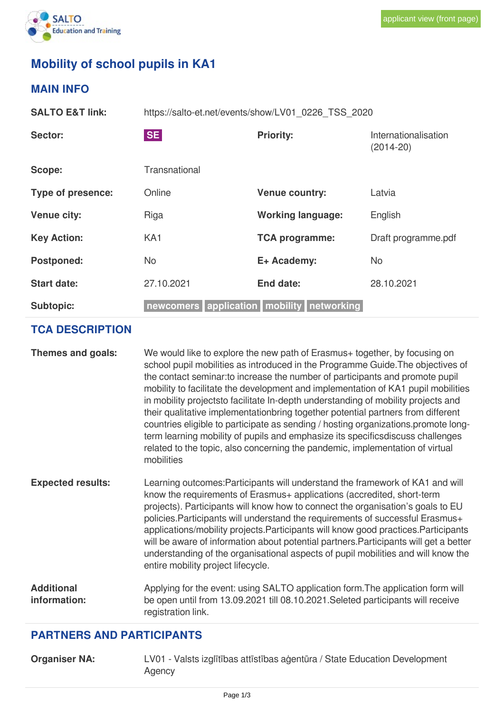

## **Mobility of school pupils in KA1**

## **MAIN INFO**

**SALTO E&T link:** https://salto-et.net/events/show/LV01\_0226\_TSS\_2020 Sector: Sector: SE SE **SE Reference Assets** Priority: **Internationalisation** (2014-20) Scope: Transnational **Type of presence:** Online **Venue country:** Latvia

| <b>Venue city:</b> | Riga                                      | <b>Working language:</b> | English             |
|--------------------|-------------------------------------------|--------------------------|---------------------|
| <b>Key Action:</b> | KA <sub>1</sub>                           | <b>TCA programme:</b>    | Draft programme.pdf |
| <b>Postponed:</b>  | No                                        | E+ Academy:              | No                  |
| <b>Start date:</b> | 27.10.2021                                | End date:                | 28.10.2021          |
| <b>Subtopic:</b>   | newcomers application mobility networking |                          |                     |

## **TCA DESCRIPTION**

| Themes and goals:                 | We would like to explore the new path of Erasmus + together, by focusing on<br>school pupil mobilities as introduced in the Programme Guide. The objectives of<br>the contact seminar: to increase the number of participants and promote pupil<br>mobility to facilitate the development and implementation of KA1 pupil mobilities<br>in mobility projectsto facilitate In-depth understanding of mobility projects and<br>their qualitative implementationbring together potential partners from different<br>countries eligible to participate as sending / hosting organizations.promote long-<br>term learning mobility of pupils and emphasize its specifics discuss challenges<br>related to the topic, also concerning the pandemic, implementation of virtual<br>mobilities |
|-----------------------------------|---------------------------------------------------------------------------------------------------------------------------------------------------------------------------------------------------------------------------------------------------------------------------------------------------------------------------------------------------------------------------------------------------------------------------------------------------------------------------------------------------------------------------------------------------------------------------------------------------------------------------------------------------------------------------------------------------------------------------------------------------------------------------------------|
| <b>Expected results:</b>          | Learning outcomes: Participants will understand the framework of KA1 and will<br>know the requirements of Erasmus+ applications (accredited, short-term<br>projects). Participants will know how to connect the organisation's goals to EU<br>policies. Participants will understand the requirements of successful Erasmus+<br>applications/mobility projects. Participants will know good practices. Participants<br>will be aware of information about potential partners. Participants will get a better<br>understanding of the organisational aspects of pupil mobilities and will know the<br>entire mobility project lifecycle.                                                                                                                                               |
| <b>Additional</b><br>information: | Applying for the event: using SALTO application form. The application form will<br>be open until from 13.09.2021 till 08.10.2021. Seleted participants will receive<br>registration link.                                                                                                                                                                                                                                                                                                                                                                                                                                                                                                                                                                                             |

## **PARTNERS AND PARTICIPANTS**

**Organiser NA:** LV01 - Valsts izglītības attīstības aģentūra / State Education Development Agency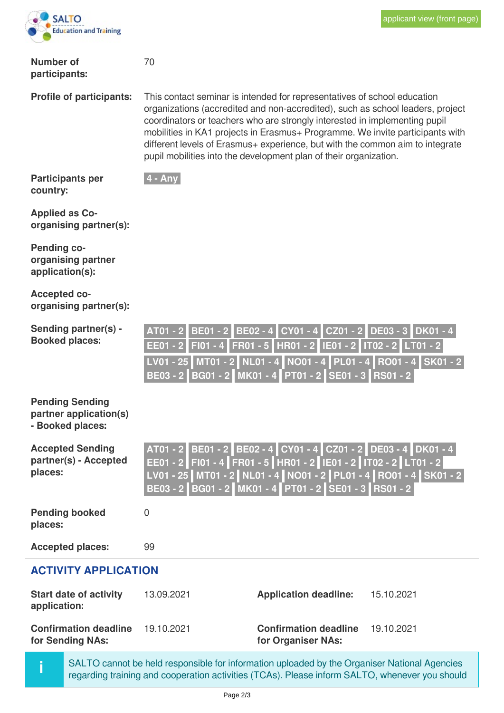

| <b>Number of</b><br>participants:                                    | 70                                                                                                                                                                                                                                                                                                                                                                                                                                                                              |  |
|----------------------------------------------------------------------|---------------------------------------------------------------------------------------------------------------------------------------------------------------------------------------------------------------------------------------------------------------------------------------------------------------------------------------------------------------------------------------------------------------------------------------------------------------------------------|--|
| <b>Profile of participants:</b>                                      | This contact seminar is intended for representatives of school education<br>organizations (accredited and non-accredited), such as school leaders, project<br>coordinators or teachers who are strongly interested in implementing pupil<br>mobilities in KA1 projects in Erasmus+ Programme. We invite participants with<br>different levels of Erasmus+ experience, but with the common aim to integrate<br>pupil mobilities into the development plan of their organization. |  |
| <b>Participants per</b><br>country:                                  | $4 - Any$                                                                                                                                                                                                                                                                                                                                                                                                                                                                       |  |
| <b>Applied as Co-</b><br>organising partner(s):                      |                                                                                                                                                                                                                                                                                                                                                                                                                                                                                 |  |
| <b>Pending co-</b><br>organising partner<br>application(s):          |                                                                                                                                                                                                                                                                                                                                                                                                                                                                                 |  |
| <b>Accepted co-</b><br>organising partner(s):                        |                                                                                                                                                                                                                                                                                                                                                                                                                                                                                 |  |
| Sending partner(s) -<br><b>Booked places:</b>                        | BE01 - 2 BE02 - 4 CY01 - 4 CZ01 - 2 DE03 - 3 DK01 - 4<br>AT01 - 2<br>EE01 - 2 FI01 - 4 FR01 - 5 HR01 - 2 IE01 - 2 IT02 - 2 LT01 - 2<br>LV01 - 25 MT01 - 2 NL01 - 4 NO01 - 4 PL01 - 4 RO01 - 4 SK01 - 2<br>BE03 - 2 BG01 - 2 MK01 - 4 PT01 - 2 SE01 - 3 RS01 - 2                                                                                                                                                                                                                 |  |
| <b>Pending Sending</b><br>partner application(s)<br>- Booked places: |                                                                                                                                                                                                                                                                                                                                                                                                                                                                                 |  |
| <b>Accepted Sending</b><br>partner(s) - Accepted<br>places:          | AT01 - 2 BE01 - 2 BE02 - 4 CY01 - 4 CZ01 - 2 DE03 - 4 DK01 - 4<br>EE01 - 2   FI01 - 4   FR01 - 5   HR01 - 2   IE01 - 2   IT02 - 2   LT01 - 2  <br>LV01 - 25   MT01 - 2   NL01 - 4   NO01 - 2   PL01 - 4   RO01 - 4   SK01 - 2  <br>BE03 - 2 BG01 - 2 MK01 - 4 PT01 - 2 SE01 - 3 RS01 - 2                                                                                                                                                                                        |  |
| <b>Pending booked</b><br>places:                                     | $\overline{0}$                                                                                                                                                                                                                                                                                                                                                                                                                                                                  |  |
| <b>Accepted places:</b>                                              | 99                                                                                                                                                                                                                                                                                                                                                                                                                                                                              |  |
| <b>ACTIVITY APPLICATION</b>                                          |                                                                                                                                                                                                                                                                                                                                                                                                                                                                                 |  |
| <b>Start date of activity</b><br>application:                        | <b>Application deadline:</b><br>15.10.2021<br>13.09.2021                                                                                                                                                                                                                                                                                                                                                                                                                        |  |

**Confirmation deadline for Sending NAs:**

**i**

19.10.2021 **Confirmation deadline** 19.10.2021 **for Organiser NAs:**

SALTO cannot be held responsible for information uploaded by the Organiser National Agencies regarding training and cooperation activities (TCAs). Please inform SALTO, whenever you should